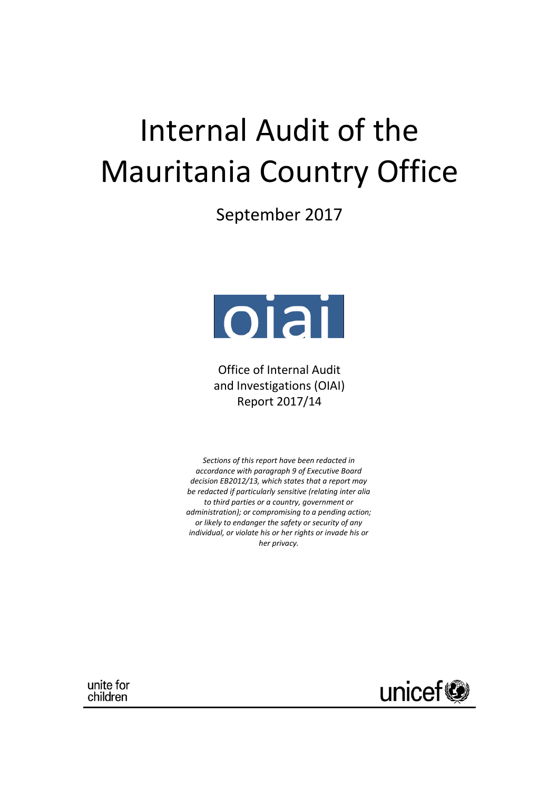# Internal Audit of the Mauritania Country Office

September 2017



Office of Internal Audit and Investigations (OIAI) Report 2017/14

*Sections of this report have been redacted in accordance with paragraph 9 of Executive Board decision EB2012/13, which states that a report may be redacted if particularly sensitive (relating inter alia to third parties or a country, government or administration); or compromising to a pending action; or likely to endanger the safety or security of any individual, or violate his or her rights or invade his or her privacy.*

unite for children

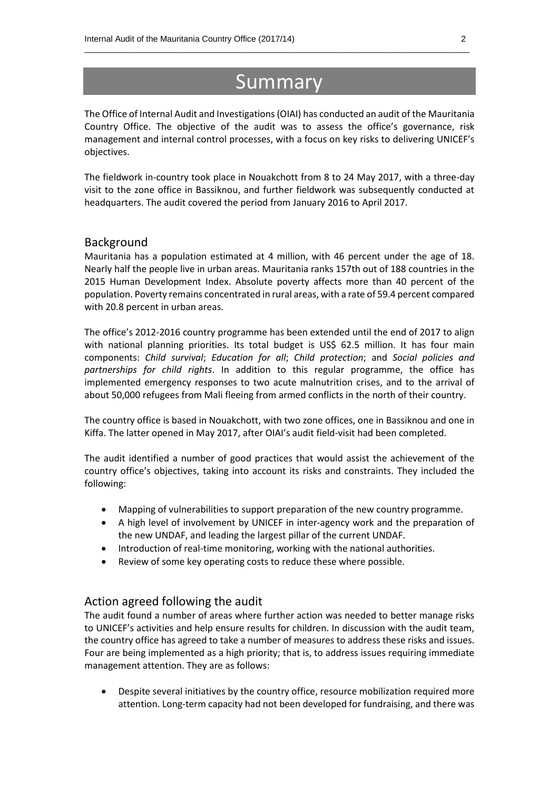# **Summary**

\_\_\_\_\_\_\_\_\_\_\_\_\_\_\_\_\_\_\_\_\_\_\_\_\_\_\_\_\_\_\_\_\_\_\_\_\_\_\_\_\_\_\_\_\_\_\_\_\_\_\_\_\_\_\_\_\_\_\_\_\_\_\_\_\_\_\_\_\_\_\_\_\_\_\_\_\_\_\_\_\_\_

The Office of Internal Audit and Investigations (OIAI) has conducted an audit of the Mauritania Country Office. The objective of the audit was to assess the office's governance, risk management and internal control processes, with a focus on key risks to delivering UNICEF's objectives.

The fieldwork in-country took place in Nouakchott from 8 to 24 May 2017, with a three-day visit to the zone office in Bassiknou, and further fieldwork was subsequently conducted at headquarters. The audit covered the period from January 2016 to April 2017.

#### Background

Mauritania has a population estimated at 4 million, with 46 percent under the age of 18. Nearly half the people live in urban areas. Mauritania ranks 157th out of 188 countries in the 2015 Human Development Index. Absolute poverty affects more than 40 percent of the population. Poverty remains concentrated in rural areas, with a rate of 59.4 percent compared with 20.8 percent in urban areas.

The office's 2012-2016 country programme has been extended until the end of 2017 to align with national planning priorities. Its total budget is US\$ 62.5 million. It has four main components: *Child survival*; *Education for all*; *Child protection*; and *Social policies and partnerships for child rights*. In addition to this regular programme, the office has implemented emergency responses to two acute malnutrition crises, and to the arrival of about 50,000 refugees from Mali fleeing from armed conflicts in the north of their country.

The country office is based in Nouakchott, with two zone offices, one in Bassiknou and one in Kiffa. The latter opened in May 2017, after OIAI's audit field-visit had been completed.

The audit identified a number of good practices that would assist the achievement of the country office's objectives, taking into account its risks and constraints. They included the following:

- Mapping of vulnerabilities to support preparation of the new country programme.
- A high level of involvement by UNICEF in inter-agency work and the preparation of the new UNDAF, and leading the largest pillar of the current UNDAF.
- Introduction of real-time monitoring, working with the national authorities.
- Review of some key operating costs to reduce these where possible.

#### Action agreed following the audit

The audit found a number of areas where further action was needed to better manage risks to UNICEF's activities and help ensure results for children. In discussion with the audit team, the country office has agreed to take a number of measures to address these risks and issues. Four are being implemented as a high priority; that is, to address issues requiring immediate management attention. They are as follows:

• Despite several initiatives by the country office, resource mobilization required more attention. Long-term capacity had not been developed for fundraising, and there was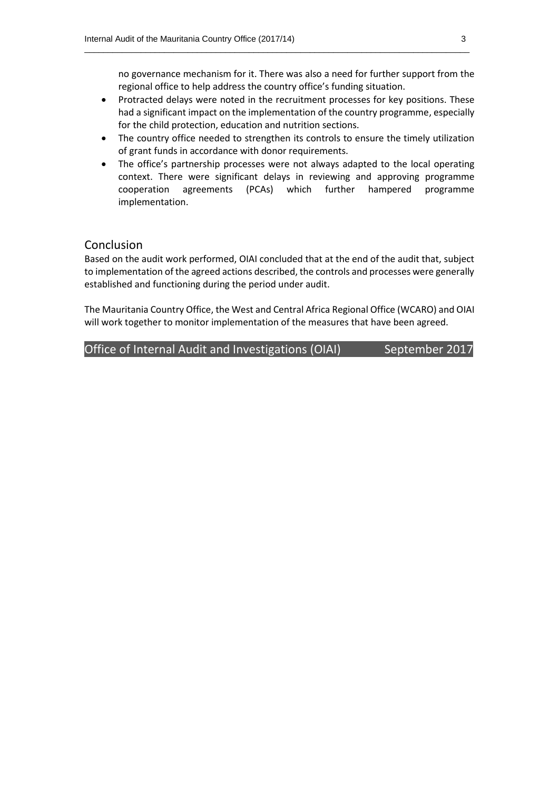no governance mechanism for it. There was also a need for further support from the regional office to help address the country office's funding situation.

• Protracted delays were noted in the recruitment processes for key positions. These had a significant impact on the implementation of the country programme, especially for the child protection, education and nutrition sections.

\_\_\_\_\_\_\_\_\_\_\_\_\_\_\_\_\_\_\_\_\_\_\_\_\_\_\_\_\_\_\_\_\_\_\_\_\_\_\_\_\_\_\_\_\_\_\_\_\_\_\_\_\_\_\_\_\_\_\_\_\_\_\_\_\_\_\_\_\_\_\_\_\_\_\_\_\_\_\_\_\_\_

- The country office needed to strengthen its controls to ensure the timely utilization of grant funds in accordance with donor requirements.
- The office's partnership processes were not always adapted to the local operating context. There were significant delays in reviewing and approving programme cooperation agreements (PCAs) which further hampered programme implementation.

#### Conclusion

Based on the audit work performed, OIAI concluded that at the end of the audit that, subject to implementation of the agreed actions described, the controls and processes were generally established and functioning during the period under audit.

The Mauritania Country Office, the West and Central Africa Regional Office (WCARO) and OIAI will work together to monitor implementation of the measures that have been agreed.

Office of Internal Audit and Investigations (OIAI) September 2017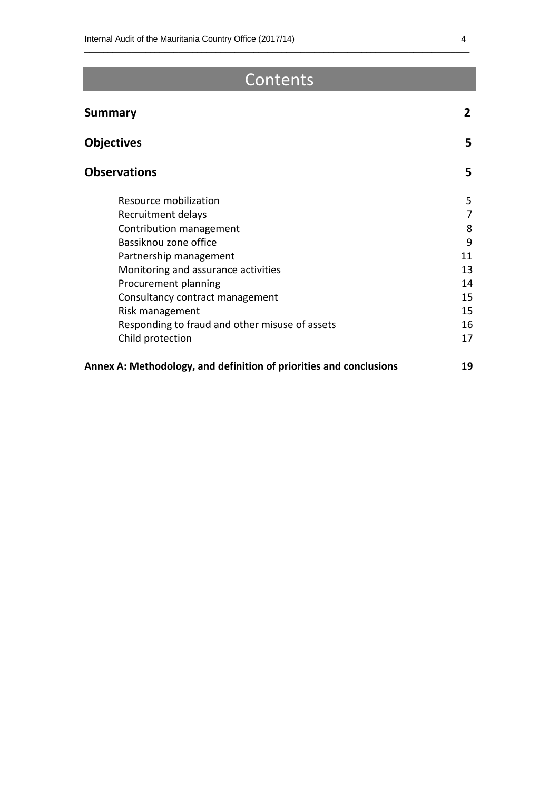### Contents

\_\_\_\_\_\_\_\_\_\_\_\_\_\_\_\_\_\_\_\_\_\_\_\_\_\_\_\_\_\_\_\_\_\_\_\_\_\_\_\_\_\_\_\_\_\_\_\_\_\_\_\_\_\_\_\_\_\_\_\_\_\_\_\_\_\_\_\_\_\_\_\_\_\_\_\_\_\_\_\_\_\_

| <b>Summary</b>                                                     | 2 <sup>1</sup> |
|--------------------------------------------------------------------|----------------|
| <b>Objectives</b>                                                  | 5              |
| <b>Observations</b>                                                | 5              |
| Resource mobilization                                              | 5              |
| Recruitment delays                                                 | 7              |
| Contribution management                                            | 8              |
| Bassiknou zone office                                              | 9              |
| Partnership management                                             | 11             |
| Monitoring and assurance activities                                | 13             |
| Procurement planning                                               | 14             |
| Consultancy contract management                                    | 15             |
| Risk management                                                    | 15             |
| Responding to fraud and other misuse of assets                     | 16             |
| Child protection                                                   | 17             |
| Annex A: Methodology, and definition of priorities and conclusions | 19             |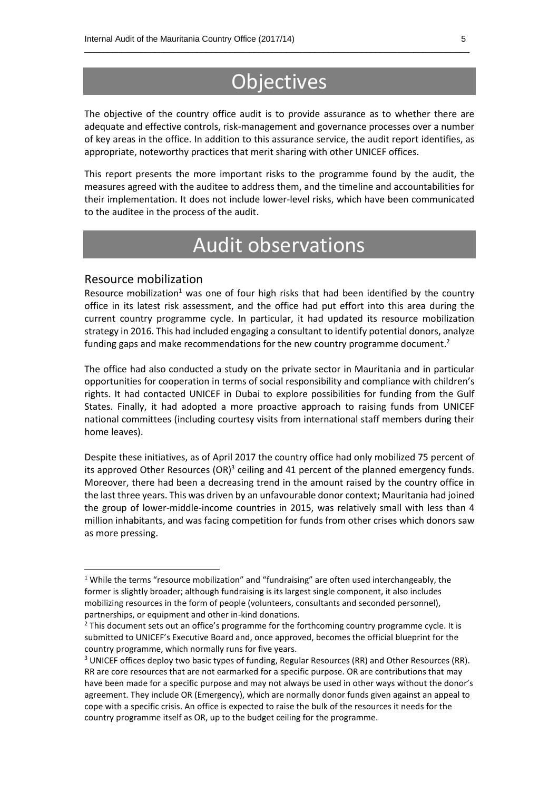# **Objectives**

\_\_\_\_\_\_\_\_\_\_\_\_\_\_\_\_\_\_\_\_\_\_\_\_\_\_\_\_\_\_\_\_\_\_\_\_\_\_\_\_\_\_\_\_\_\_\_\_\_\_\_\_\_\_\_\_\_\_\_\_\_\_\_\_\_\_\_\_\_\_\_\_\_\_\_\_\_\_\_\_\_\_

The objective of the country office audit is to provide assurance as to whether there are adequate and effective controls, risk-management and governance processes over a number of key areas in the office. In addition to this assurance service, the audit report identifies, as appropriate, noteworthy practices that merit sharing with other UNICEF offices.

This report presents the more important risks to the programme found by the audit, the measures agreed with the auditee to address them, and the timeline and accountabilities for their implementation. It does not include lower-level risks, which have been communicated to the auditee in the process of the audit.

# Audit observations

#### Resource mobilization

1

Resource mobilization<sup>1</sup> was one of four high risks that had been identified by the country office in its latest risk assessment, and the office had put effort into this area during the current country programme cycle. In particular, it had updated its resource mobilization strategy in 2016. This had included engaging a consultant to identify potential donors, analyze funding gaps and make recommendations for the new country programme document.<sup>2</sup>

The office had also conducted a study on the private sector in Mauritania and in particular opportunities for cooperation in terms of social responsibility and compliance with children's rights. It had contacted UNICEF in Dubai to explore possibilities for funding from the Gulf States. Finally, it had adopted a more proactive approach to raising funds from UNICEF national committees (including courtesy visits from international staff members during their home leaves).

Despite these initiatives, as of April 2017 the country office had only mobilized 75 percent of its approved Other Resources  $(OR)^3$  ceiling and 41 percent of the planned emergency funds. Moreover, there had been a decreasing trend in the amount raised by the country office in the last three years. This was driven by an unfavourable donor context; Mauritania had joined the group of lower-middle-income countries in 2015, was relatively small with less than 4 million inhabitants, and was facing competition for funds from other crises which donors saw as more pressing.

<sup>&</sup>lt;sup>1</sup> While the terms "resource mobilization" and "fundraising" are often used interchangeably, the former is slightly broader; although fundraising is its largest single component, it also includes mobilizing resources in the form of people (volunteers, consultants and seconded personnel), partnerships, or equipment and other in-kind donations.

<sup>&</sup>lt;sup>2</sup> This document sets out an office's programme for the forthcoming country programme cycle. It is submitted to UNICEF's Executive Board and, once approved, becomes the official blueprint for the country programme, which normally runs for five years.

<sup>&</sup>lt;sup>3</sup> UNICEF offices deploy two basic types of funding, Regular Resources (RR) and Other Resources (RR). RR are core resources that are not earmarked for a specific purpose. OR are contributions that may have been made for a specific purpose and may not always be used in other ways without the donor's agreement. They include OR (Emergency), which are normally donor funds given against an appeal to cope with a specific crisis. An office is expected to raise the bulk of the resources it needs for the country programme itself as OR, up to the budget ceiling for the programme.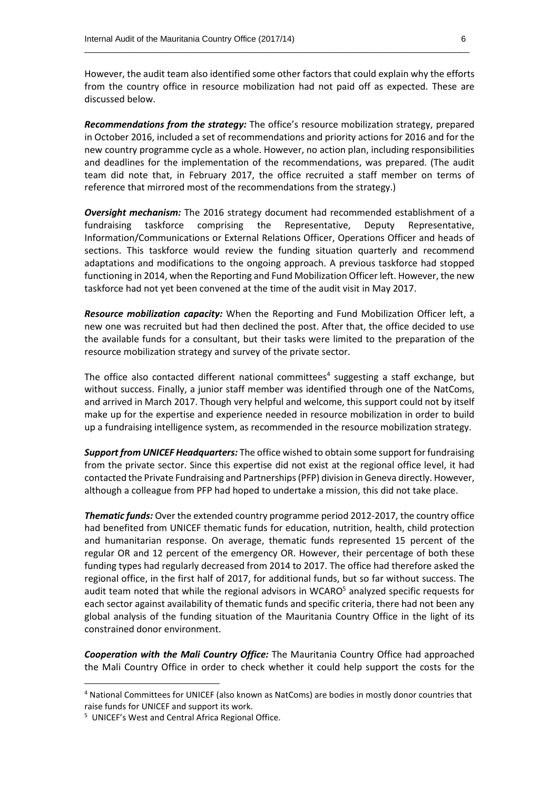However, the audit team also identified some other factors that could explain why the efforts from the country office in resource mobilization had not paid off as expected. These are discussed below.

\_\_\_\_\_\_\_\_\_\_\_\_\_\_\_\_\_\_\_\_\_\_\_\_\_\_\_\_\_\_\_\_\_\_\_\_\_\_\_\_\_\_\_\_\_\_\_\_\_\_\_\_\_\_\_\_\_\_\_\_\_\_\_\_\_\_\_\_\_\_\_\_\_\_\_\_\_\_\_\_\_\_

*Recommendations from the strategy:* The office's resource mobilization strategy, prepared in October 2016, included a set of recommendations and priority actions for 2016 and for the new country programme cycle as a whole. However, no action plan, including responsibilities and deadlines for the implementation of the recommendations, was prepared. (The audit team did note that, in February 2017, the office recruited a staff member on terms of reference that mirrored most of the recommendations from the strategy.)

*Oversight mechanism:* The 2016 strategy document had recommended establishment of a fundraising taskforce comprising the Representative, Deputy Representative, Information/Communications or External Relations Officer, Operations Officer and heads of sections. This taskforce would review the funding situation quarterly and recommend adaptations and modifications to the ongoing approach. A previous taskforce had stopped functioning in 2014, when the Reporting and Fund Mobilization Officer left. However, the new taskforce had not yet been convened at the time of the audit visit in May 2017.

*Resource mobilization capacity:* When the Reporting and Fund Mobilization Officer left, a new one was recruited but had then declined the post. After that, the office decided to use the available funds for a consultant, but their tasks were limited to the preparation of the resource mobilization strategy and survey of the private sector.

The office also contacted different national committees<sup>4</sup> suggesting a staff exchange, but without success. Finally, a junior staff member was identified through one of the NatComs, and arrived in March 2017. Though very helpful and welcome, this support could not by itself make up for the expertise and experience needed in resource mobilization in order to build up a fundraising intelligence system, as recommended in the resource mobilization strategy.

*Support from UNICEF Headquarters:* The office wished to obtain some support for fundraising from the private sector. Since this expertise did not exist at the regional office level, it had contacted the Private Fundraising and Partnerships(PFP) division in Geneva directly. However, although a colleague from PFP had hoped to undertake a mission, this did not take place.

*Thematic funds:* Over the extended country programme period 2012-2017, the country office had benefited from UNICEF thematic funds for education, nutrition, health, child protection and humanitarian response. On average, thematic funds represented 15 percent of the regular OR and 12 percent of the emergency OR. However, their percentage of both these funding types had regularly decreased from 2014 to 2017. The office had therefore asked the regional office, in the first half of 2017, for additional funds, but so far without success. The audit team noted that while the regional advisors in WCARO<sup>5</sup> analyzed specific requests for each sector against availability of thematic funds and specific criteria, there had not been any global analysis of the funding situation of the Mauritania Country Office in the light of its constrained donor environment.

*Cooperation with the Mali Country Office:* The Mauritania Country Office had approached the Mali Country Office in order to check whether it could help support the costs for the

<sup>4</sup> National Committees for UNICEF (also known as NatComs) are bodies in mostly donor countries that raise funds for UNICEF and support its work.

<sup>&</sup>lt;sup>5</sup> UNICEF's West and Central Africa Regional Office.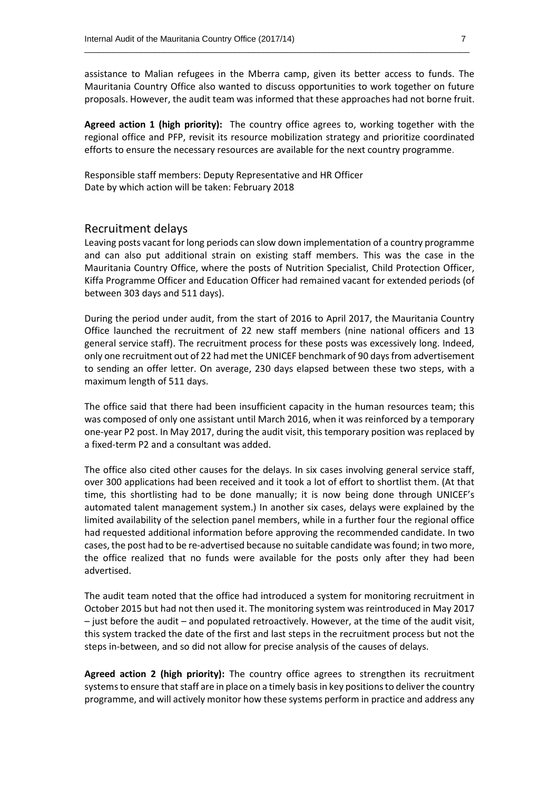assistance to Malian refugees in the Mberra camp, given its better access to funds. The Mauritania Country Office also wanted to discuss opportunities to work together on future proposals. However, the audit team was informed that these approaches had not borne fruit.

\_\_\_\_\_\_\_\_\_\_\_\_\_\_\_\_\_\_\_\_\_\_\_\_\_\_\_\_\_\_\_\_\_\_\_\_\_\_\_\_\_\_\_\_\_\_\_\_\_\_\_\_\_\_\_\_\_\_\_\_\_\_\_\_\_\_\_\_\_\_\_\_\_\_\_\_\_\_\_\_\_\_

**Agreed action 1 (high priority):** The country office agrees to, working together with the regional office and PFP, revisit its resource mobilization strategy and prioritize coordinated efforts to ensure the necessary resources are available for the next country programme.

Responsible staff members: Deputy Representative and HR Officer Date by which action will be taken: February 2018

#### Recruitment delays

Leaving posts vacant for long periods can slow down implementation of a country programme and can also put additional strain on existing staff members. This was the case in the Mauritania Country Office, where the posts of Nutrition Specialist, Child Protection Officer, Kiffa Programme Officer and Education Officer had remained vacant for extended periods (of between 303 days and 511 days).

During the period under audit, from the start of 2016 to April 2017, the Mauritania Country Office launched the recruitment of 22 new staff members (nine national officers and 13 general service staff). The recruitment process for these posts was excessively long. Indeed, only one recruitment out of 22 had met the UNICEF benchmark of 90 days from advertisement to sending an offer letter. On average, 230 days elapsed between these two steps, with a maximum length of 511 days.

The office said that there had been insufficient capacity in the human resources team; this was composed of only one assistant until March 2016, when it was reinforced by a temporary one-year P2 post. In May 2017, during the audit visit, this temporary position was replaced by a fixed-term P2 and a consultant was added.

The office also cited other causes for the delays. In six cases involving general service staff, over 300 applications had been received and it took a lot of effort to shortlist them. (At that time, this shortlisting had to be done manually; it is now being done through UNICEF's automated talent management system.) In another six cases, delays were explained by the limited availability of the selection panel members, while in a further four the regional office had requested additional information before approving the recommended candidate. In two cases, the post had to be re-advertised because no suitable candidate was found; in two more, the office realized that no funds were available for the posts only after they had been advertised.

The audit team noted that the office had introduced a system for monitoring recruitment in October 2015 but had not then used it. The monitoring system was reintroduced in May 2017 – just before the audit – and populated retroactively. However, at the time of the audit visit, this system tracked the date of the first and last steps in the recruitment process but not the steps in-between, and so did not allow for precise analysis of the causes of delays.

**Agreed action 2 (high priority):** The country office agrees to strengthen its recruitment systems to ensure that staff are in place on a timely basis in key positions to deliver the country programme, and will actively monitor how these systems perform in practice and address any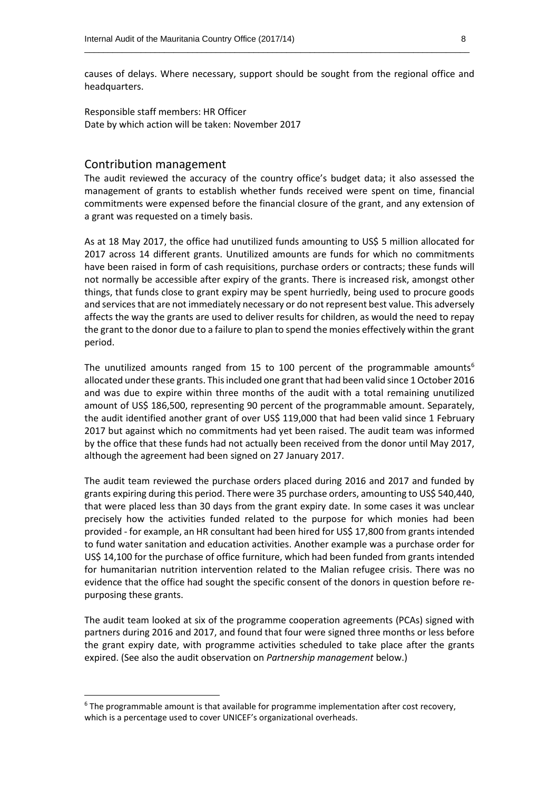causes of delays. Where necessary, support should be sought from the regional office and headquarters.

\_\_\_\_\_\_\_\_\_\_\_\_\_\_\_\_\_\_\_\_\_\_\_\_\_\_\_\_\_\_\_\_\_\_\_\_\_\_\_\_\_\_\_\_\_\_\_\_\_\_\_\_\_\_\_\_\_\_\_\_\_\_\_\_\_\_\_\_\_\_\_\_\_\_\_\_\_\_\_\_\_\_

Responsible staff members: HR Officer Date by which action will be taken: November 2017

#### Contribution management

**.** 

The audit reviewed the accuracy of the country office's budget data; it also assessed the management of grants to establish whether funds received were spent on time, financial commitments were expensed before the financial closure of the grant, and any extension of a grant was requested on a timely basis.

As at 18 May 2017, the office had unutilized funds amounting to US\$ 5 million allocated for 2017 across 14 different grants. Unutilized amounts are funds for which no commitments have been raised in form of cash requisitions, purchase orders or contracts; these funds will not normally be accessible after expiry of the grants. There is increased risk, amongst other things, that funds close to grant expiry may be spent hurriedly, being used to procure goods and services that are not immediately necessary or do not represent best value. This adversely affects the way the grants are used to deliver results for children, as would the need to repay the grant to the donor due to a failure to plan to spend the monies effectively within the grant period.

The unutilized amounts ranged from 15 to 100 percent of the programmable amounts $6$ allocated under these grants. This included one grant that had been valid since 1 October 2016 and was due to expire within three months of the audit with a total remaining unutilized amount of US\$ 186,500, representing 90 percent of the programmable amount. Separately, the audit identified another grant of over US\$ 119,000 that had been valid since 1 February 2017 but against which no commitments had yet been raised. The audit team was informed by the office that these funds had not actually been received from the donor until May 2017, although the agreement had been signed on 27 January 2017.

The audit team reviewed the purchase orders placed during 2016 and 2017 and funded by grants expiring during this period. There were 35 purchase orders, amounting to US\$ 540,440, that were placed less than 30 days from the grant expiry date. In some cases it was unclear precisely how the activities funded related to the purpose for which monies had been provided - for example, an HR consultant had been hired for US\$ 17,800 from grants intended to fund water sanitation and education activities. Another example was a purchase order for US\$ 14,100 for the purchase of office furniture, which had been funded from grants intended for humanitarian nutrition intervention related to the Malian refugee crisis. There was no evidence that the office had sought the specific consent of the donors in question before repurposing these grants.

The audit team looked at six of the programme cooperation agreements (PCAs) signed with partners during 2016 and 2017, and found that four were signed three months or less before the grant expiry date, with programme activities scheduled to take place after the grants expired. (See also the audit observation on *Partnership management* below.)

 $6$  The programmable amount is that available for programme implementation after cost recovery, which is a percentage used to cover UNICEF's organizational overheads.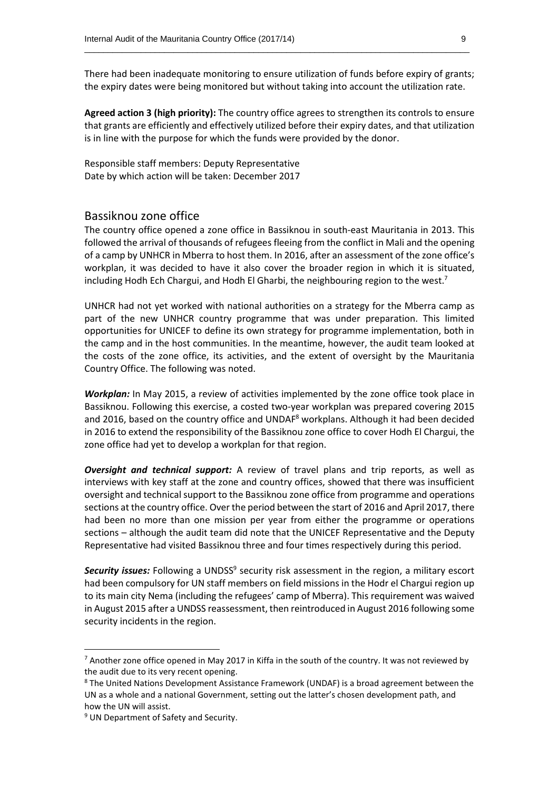There had been inadequate monitoring to ensure utilization of funds before expiry of grants; the expiry dates were being monitored but without taking into account the utilization rate.

\_\_\_\_\_\_\_\_\_\_\_\_\_\_\_\_\_\_\_\_\_\_\_\_\_\_\_\_\_\_\_\_\_\_\_\_\_\_\_\_\_\_\_\_\_\_\_\_\_\_\_\_\_\_\_\_\_\_\_\_\_\_\_\_\_\_\_\_\_\_\_\_\_\_\_\_\_\_\_\_\_\_

**Agreed action 3 (high priority):** The country office agrees to strengthen its controls to ensure that grants are efficiently and effectively utilized before their expiry dates, and that utilization is in line with the purpose for which the funds were provided by the donor.

Responsible staff members: Deputy Representative Date by which action will be taken: December 2017

#### Bassiknou zone office

The country office opened a zone office in Bassiknou in south-east Mauritania in 2013. This followed the arrival of thousands of refugees fleeing from the conflict in Mali and the opening of a camp by UNHCR in Mberra to host them. In 2016, after an assessment of the zone office's workplan, it was decided to have it also cover the broader region in which it is situated, including Hodh Ech Chargui, and Hodh El Gharbi, the neighbouring region to the west.<sup>7</sup>

UNHCR had not yet worked with national authorities on a strategy for the Mberra camp as part of the new UNHCR country programme that was under preparation. This limited opportunities for UNICEF to define its own strategy for programme implementation, both in the camp and in the host communities. In the meantime, however, the audit team looked at the costs of the zone office, its activities, and the extent of oversight by the Mauritania Country Office. The following was noted.

*Workplan:* In May 2015, a review of activities implemented by the zone office took place in Bassiknou. Following this exercise, a costed two-year workplan was prepared covering 2015 and 2016, based on the country office and UNDAF<sup>8</sup> workplans. Although it had been decided in 2016 to extend the responsibility of the Bassiknou zone office to cover Hodh El Chargui, the zone office had yet to develop a workplan for that region.

*Oversight and technical support:* A review of travel plans and trip reports, as well as interviews with key staff at the zone and country offices, showed that there was insufficient oversight and technical support to the Bassiknou zone office from programme and operations sections at the country office. Over the period between the start of 2016 and April 2017, there had been no more than one mission per year from either the programme or operations sections – although the audit team did note that the UNICEF Representative and the Deputy Representative had visited Bassiknou three and four times respectively during this period.

Security issues: Following a UNDSS<sup>9</sup> security risk assessment in the region, a military escort had been compulsory for UN staff members on field missions in the Hodr el Chargui region up to its main city Nema (including the refugees' camp of Mberra). This requirement was waived in August 2015 after a UNDSS reassessment, then reintroduced in August 2016 following some security incidents in the region.

 $7$  Another zone office opened in May 2017 in Kiffa in the south of the country. It was not reviewed by the audit due to its very recent opening.

<sup>8</sup> The United Nations Development Assistance Framework (UNDAF) is a broad agreement between the UN as a whole and a national Government, setting out the latter's chosen development path, and how the UN will assist.

<sup>&</sup>lt;sup>9</sup> UN Department of Safety and Security.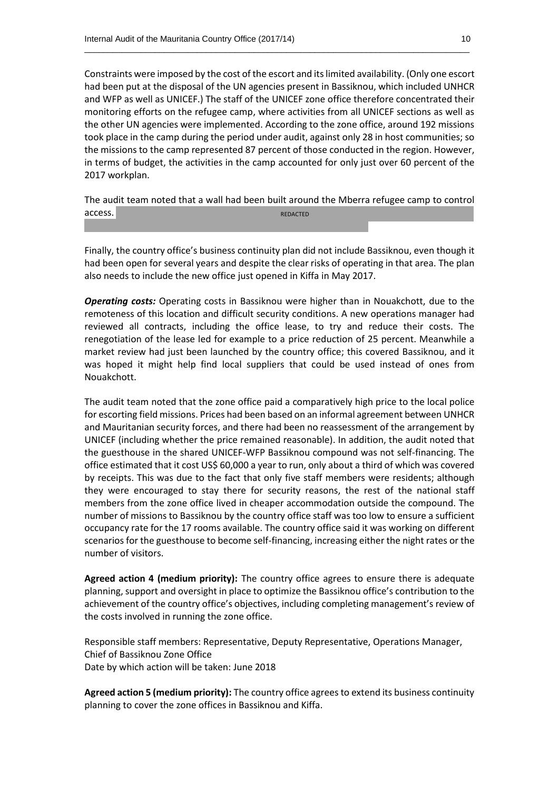Constraints were imposed by the cost of the escort and its limited availability. (Only one escort had been put at the disposal of the UN agencies present in Bassiknou, which included UNHCR and WFP as well as UNICEF.) The staff of the UNICEF zone office therefore concentrated their monitoring efforts on the refugee camp, where activities from all UNICEF sections as well as the other UN agencies were implemented. According to the zone office, around 192 missions took place in the camp during the period under audit, against only 28 in host communities; so the missions to the camp represented 87 percent of those conducted in the region. However, in terms of budget, the activities in the camp accounted for only just over 60 percent of the 2017 workplan.

\_\_\_\_\_\_\_\_\_\_\_\_\_\_\_\_\_\_\_\_\_\_\_\_\_\_\_\_\_\_\_\_\_\_\_\_\_\_\_\_\_\_\_\_\_\_\_\_\_\_\_\_\_\_\_\_\_\_\_\_\_\_\_\_\_\_\_\_\_\_\_\_\_\_\_\_\_\_\_\_\_\_

The audit team noted that a wall had been built around the Mberra refugee camp to control  $\overline{access}.$   $\overline{access}.$ REDACTED

Finally, the country office's business continuity plan did not include Bassiknou, even though it had been open for several years and despite the clear risks of operating in that area. The plan also needs to include the new office just opened in Kiffa in May 2017.

*Operating costs:* Operating costs in Bassiknou were higher than in Nouakchott, due to the remoteness of this location and difficult security conditions. A new operations manager had reviewed all contracts, including the office lease, to try and reduce their costs. The renegotiation of the lease led for example to a price reduction of 25 percent. Meanwhile a market review had just been launched by the country office; this covered Bassiknou, and it was hoped it might help find local suppliers that could be used instead of ones from Nouakchott.

The audit team noted that the zone office paid a comparatively high price to the local police for escorting field missions. Prices had been based on an informal agreement between UNHCR and Mauritanian security forces, and there had been no reassessment of the arrangement by UNICEF (including whether the price remained reasonable). In addition, the audit noted that the guesthouse in the shared UNICEF-WFP Bassiknou compound was not self-financing. The office estimated that it cost US\$ 60,000 a year to run, only about a third of which was covered by receipts. This was due to the fact that only five staff members were residents; although they were encouraged to stay there for security reasons, the rest of the national staff members from the zone office lived in cheaper accommodation outside the compound. The number of missions to Bassiknou by the country office staff was too low to ensure a sufficient occupancy rate for the 17 rooms available. The country office said it was working on different scenarios for the guesthouse to become self-financing, increasing either the night rates or the number of visitors.

**Agreed action 4 (medium priority):** The country office agrees to ensure there is adequate planning, support and oversight in place to optimize the Bassiknou office's contribution to the achievement of the country office's objectives, including completing management's review of the costs involved in running the zone office.

Responsible staff members: Representative, Deputy Representative, Operations Manager, Chief of Bassiknou Zone Office Date by which action will be taken: June 2018

**Agreed action 5 (medium priority):** The country office agrees to extend its business continuity planning to cover the zone offices in Bassiknou and Kiffa.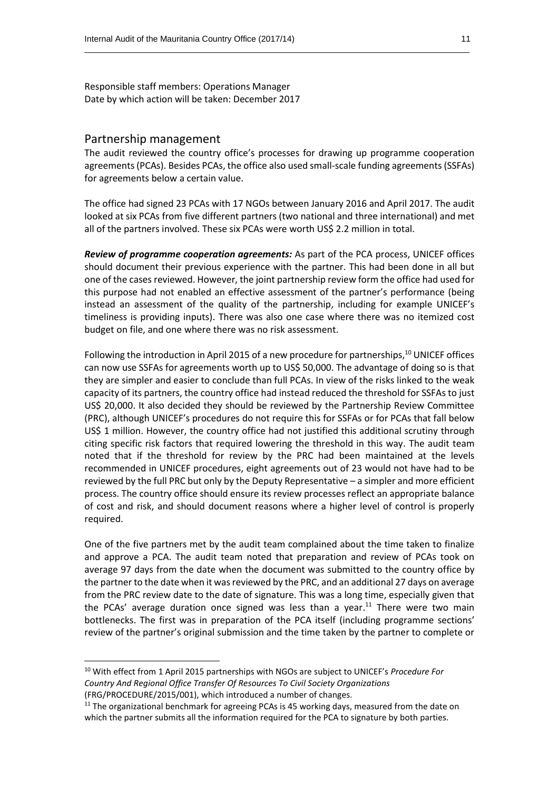Responsible staff members: Operations Manager Date by which action will be taken: December 2017

#### Partnership management

 $\overline{a}$ 

The audit reviewed the country office's processes for drawing up programme cooperation agreements (PCAs). Besides PCAs, the office also used small-scale funding agreements (SSFAs) for agreements below a certain value.

\_\_\_\_\_\_\_\_\_\_\_\_\_\_\_\_\_\_\_\_\_\_\_\_\_\_\_\_\_\_\_\_\_\_\_\_\_\_\_\_\_\_\_\_\_\_\_\_\_\_\_\_\_\_\_\_\_\_\_\_\_\_\_\_\_\_\_\_\_\_\_\_\_\_\_\_\_\_\_\_\_\_

The office had signed 23 PCAs with 17 NGOs between January 2016 and April 2017. The audit looked at six PCAs from five different partners (two national and three international) and met all of the partners involved. These six PCAs were worth US\$ 2.2 million in total.

*Review of programme cooperation agreements:* As part of the PCA process, UNICEF offices should document their previous experience with the partner. This had been done in all but one of the cases reviewed. However, the joint partnership review form the office had used for this purpose had not enabled an effective assessment of the partner's performance (being instead an assessment of the quality of the partnership, including for example UNICEF's timeliness is providing inputs). There was also one case where there was no itemized cost budget on file, and one where there was no risk assessment.

Following the introduction in April 2015 of a new procedure for partnerships,<sup>10</sup> UNICEF offices can now use SSFAs for agreements worth up to US\$ 50,000. The advantage of doing so is that they are simpler and easier to conclude than full PCAs. In view of the risks linked to the weak capacity of its partners, the country office had instead reduced the threshold for SSFAs to just US\$ 20,000. It also decided they should be reviewed by the Partnership Review Committee (PRC), although UNICEF's procedures do not require this for SSFAs or for PCAs that fall below US\$ 1 million. However, the country office had not justified this additional scrutiny through citing specific risk factors that required lowering the threshold in this way. The audit team noted that if the threshold for review by the PRC had been maintained at the levels recommended in UNICEF procedures, eight agreements out of 23 would not have had to be reviewed by the full PRC but only by the Deputy Representative – a simpler and more efficient process. The country office should ensure its review processes reflect an appropriate balance of cost and risk, and should document reasons where a higher level of control is properly required.

One of the five partners met by the audit team complained about the time taken to finalize and approve a PCA. The audit team noted that preparation and review of PCAs took on average 97 days from the date when the document was submitted to the country office by the partner to the date when it was reviewed by the PRC, and an additional 27 days on average from the PRC review date to the date of signature. This was a long time, especially given that the PCAs' average duration once signed was less than a year.<sup>11</sup> There were two main bottlenecks. The first was in preparation of the PCA itself (including programme sections' review of the partner's original submission and the time taken by the partner to complete or

<sup>10</sup> With effect from 1 April 2015 partnerships with NGOs are subject to UNICEF's *Procedure For Country And Regional Office Transfer Of Resources To Civil Society Organizations* (FRG/PROCEDURE/2015/001), which introduced a number of changes.

<sup>&</sup>lt;sup>11</sup> The organizational benchmark for agreeing PCAs is 45 working days, measured from the date on which the partner submits all the information required for the PCA to signature by both parties.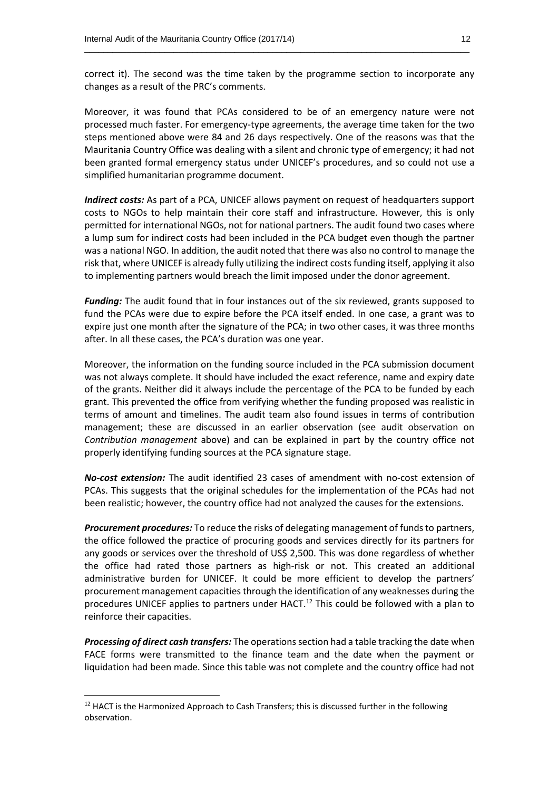correct it). The second was the time taken by the programme section to incorporate any changes as a result of the PRC's comments.

\_\_\_\_\_\_\_\_\_\_\_\_\_\_\_\_\_\_\_\_\_\_\_\_\_\_\_\_\_\_\_\_\_\_\_\_\_\_\_\_\_\_\_\_\_\_\_\_\_\_\_\_\_\_\_\_\_\_\_\_\_\_\_\_\_\_\_\_\_\_\_\_\_\_\_\_\_\_\_\_\_\_

Moreover, it was found that PCAs considered to be of an emergency nature were not processed much faster. For emergency-type agreements, the average time taken for the two steps mentioned above were 84 and 26 days respectively. One of the reasons was that the Mauritania Country Office was dealing with a silent and chronic type of emergency; it had not been granted formal emergency status under UNICEF's procedures, and so could not use a simplified humanitarian programme document.

*Indirect costs:* As part of a PCA, UNICEF allows payment on request of headquarters support costs to NGOs to help maintain their core staff and infrastructure. However, this is only permitted for international NGOs, not for national partners. The audit found two cases where a lump sum for indirect costs had been included in the PCA budget even though the partner was a national NGO. In addition, the audit noted that there was also no control to manage the risk that, where UNICEF is already fully utilizing the indirect costsfunding itself, applying it also to implementing partners would breach the limit imposed under the donor agreement.

*Funding:* The audit found that in four instances out of the six reviewed, grants supposed to fund the PCAs were due to expire before the PCA itself ended. In one case, a grant was to expire just one month after the signature of the PCA; in two other cases, it was three months after. In all these cases, the PCA's duration was one year.

Moreover, the information on the funding source included in the PCA submission document was not always complete. It should have included the exact reference, name and expiry date of the grants. Neither did it always include the percentage of the PCA to be funded by each grant. This prevented the office from verifying whether the funding proposed was realistic in terms of amount and timelines. The audit team also found issues in terms of contribution management; these are discussed in an earlier observation (see audit observation on *Contribution management* above) and can be explained in part by the country office not properly identifying funding sources at the PCA signature stage.

*No-cost extension:* The audit identified 23 cases of amendment with no-cost extension of PCAs. This suggests that the original schedules for the implementation of the PCAs had not been realistic; however, the country office had not analyzed the causes for the extensions.

*Procurement procedures:* To reduce the risks of delegating management of funds to partners, the office followed the practice of procuring goods and services directly for its partners for any goods or services over the threshold of US\$ 2,500. This was done regardless of whether the office had rated those partners as high-risk or not. This created an additional administrative burden for UNICEF. It could be more efficient to develop the partners' procurement management capacities through the identification of any weaknesses during the procedures UNICEF applies to partners under HACT.<sup>12</sup> This could be followed with a plan to reinforce their capacities.

*Processing of direct cash transfers:* The operations section had a table tracking the date when FACE forms were transmitted to the finance team and the date when the payment or liquidation had been made. Since this table was not complete and the country office had not

 $12$  HACT is the Harmonized Approach to Cash Transfers; this is discussed further in the following observation.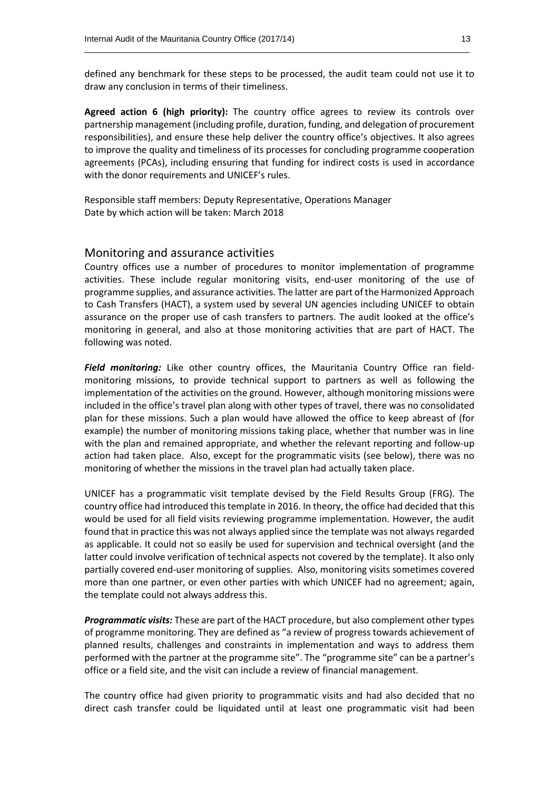defined any benchmark for these steps to be processed, the audit team could not use it to draw any conclusion in terms of their timeliness.

\_\_\_\_\_\_\_\_\_\_\_\_\_\_\_\_\_\_\_\_\_\_\_\_\_\_\_\_\_\_\_\_\_\_\_\_\_\_\_\_\_\_\_\_\_\_\_\_\_\_\_\_\_\_\_\_\_\_\_\_\_\_\_\_\_\_\_\_\_\_\_\_\_\_\_\_\_\_\_\_\_\_

**Agreed action 6 (high priority):** The country office agrees to review its controls over partnership management (including profile, duration, funding, and delegation of procurement responsibilities), and ensure these help deliver the country office's objectives. It also agrees to improve the quality and timeliness of its processes for concluding programme cooperation agreements (PCAs), including ensuring that funding for indirect costs is used in accordance with the donor requirements and UNICEF's rules.

Responsible staff members: Deputy Representative, Operations Manager Date by which action will be taken: March 2018

#### Monitoring and assurance activities

Country offices use a number of procedures to monitor implementation of programme activities. These include regular monitoring visits, end-user monitoring of the use of programme supplies, and assurance activities. The latter are part of the Harmonized Approach to Cash Transfers (HACT), a system used by several UN agencies including UNICEF to obtain assurance on the proper use of cash transfers to partners. The audit looked at the office's monitoring in general, and also at those monitoring activities that are part of HACT. The following was noted.

*Field monitoring:* Like other country offices, the Mauritania Country Office ran fieldmonitoring missions, to provide technical support to partners as well as following the implementation of the activities on the ground. However, although monitoring missions were included in the office's travel plan along with other types of travel, there was no consolidated plan for these missions. Such a plan would have allowed the office to keep abreast of (for example) the number of monitoring missions taking place, whether that number was in line with the plan and remained appropriate, and whether the relevant reporting and follow-up action had taken place. Also, except for the programmatic visits (see below), there was no monitoring of whether the missions in the travel plan had actually taken place.

UNICEF has a programmatic visit template devised by the Field Results Group (FRG). The country office had introduced this template in 2016. In theory, the office had decided that this would be used for all field visits reviewing programme implementation. However, the audit found that in practice this was not always applied since the template was not always regarded as applicable. It could not so easily be used for supervision and technical oversight (and the latter could involve verification of technical aspects not covered by the template). It also only partially covered end-user monitoring of supplies. Also, monitoring visits sometimes covered more than one partner, or even other parties with which UNICEF had no agreement; again, the template could not always address this.

*Programmatic visits:* These are part of the HACT procedure, but also complement other types of programme monitoring. They are defined as "a review of progress towards achievement of planned results, challenges and constraints in implementation and ways to address them performed with the partner at the programme site". The "programme site" can be a partner's office or a field site, and the visit can include a review of financial management.

The country office had given priority to programmatic visits and had also decided that no direct cash transfer could be liquidated until at least one programmatic visit had been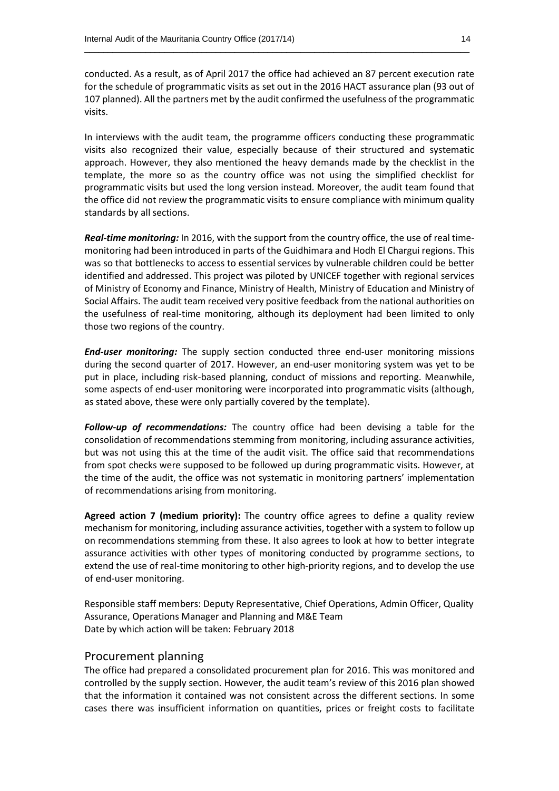conducted. As a result, as of April 2017 the office had achieved an 87 percent execution rate for the schedule of programmatic visits as set out in the 2016 HACT assurance plan (93 out of 107 planned). All the partners met by the audit confirmed the usefulness of the programmatic visits.

\_\_\_\_\_\_\_\_\_\_\_\_\_\_\_\_\_\_\_\_\_\_\_\_\_\_\_\_\_\_\_\_\_\_\_\_\_\_\_\_\_\_\_\_\_\_\_\_\_\_\_\_\_\_\_\_\_\_\_\_\_\_\_\_\_\_\_\_\_\_\_\_\_\_\_\_\_\_\_\_\_\_

In interviews with the audit team, the programme officers conducting these programmatic visits also recognized their value, especially because of their structured and systematic approach. However, they also mentioned the heavy demands made by the checklist in the template, the more so as the country office was not using the simplified checklist for programmatic visits but used the long version instead. Moreover, the audit team found that the office did not review the programmatic visits to ensure compliance with minimum quality standards by all sections.

*Real-time monitoring:* In 2016, with the support from the country office, the use of real timemonitoring had been introduced in parts of the Guidhimara and Hodh El Chargui regions. This was so that bottlenecks to access to essential services by vulnerable children could be better identified and addressed. This project was piloted by UNICEF together with regional services of Ministry of Economy and Finance, Ministry of Health, Ministry of Education and Ministry of Social Affairs. The audit team received very positive feedback from the national authorities on the usefulness of real-time monitoring, although its deployment had been limited to only those two regions of the country.

*End-user monitoring:* The supply section conducted three end-user monitoring missions during the second quarter of 2017. However, an end-user monitoring system was yet to be put in place, including risk-based planning, conduct of missions and reporting. Meanwhile, some aspects of end-user monitoring were incorporated into programmatic visits (although, as stated above, these were only partially covered by the template).

*Follow-up of recommendations:* The country office had been devising a table for the consolidation of recommendations stemming from monitoring, including assurance activities, but was not using this at the time of the audit visit. The office said that recommendations from spot checks were supposed to be followed up during programmatic visits. However, at the time of the audit, the office was not systematic in monitoring partners' implementation of recommendations arising from monitoring.

**Agreed action 7 (medium priority):** The country office agrees to define a quality review mechanism for monitoring, including assurance activities, together with a system to follow up on recommendations stemming from these. It also agrees to look at how to better integrate assurance activities with other types of monitoring conducted by programme sections, to extend the use of real-time monitoring to other high-priority regions, and to develop the use of end-user monitoring.

Responsible staff members: Deputy Representative, Chief Operations, Admin Officer, Quality Assurance, Operations Manager and Planning and M&E Team Date by which action will be taken: February 2018

#### Procurement planning

The office had prepared a consolidated procurement plan for 2016. This was monitored and controlled by the supply section. However, the audit team's review of this 2016 plan showed that the information it contained was not consistent across the different sections. In some cases there was insufficient information on quantities, prices or freight costs to facilitate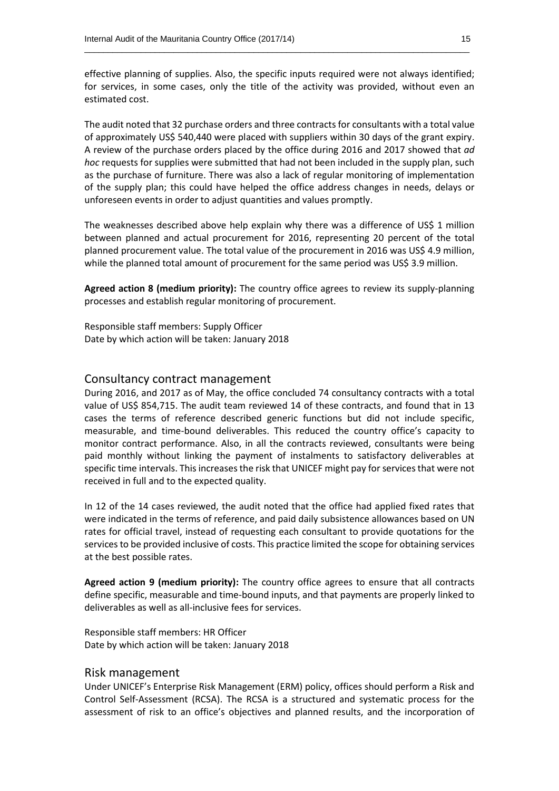effective planning of supplies. Also, the specific inputs required were not always identified; for services, in some cases, only the title of the activity was provided, without even an estimated cost.

\_\_\_\_\_\_\_\_\_\_\_\_\_\_\_\_\_\_\_\_\_\_\_\_\_\_\_\_\_\_\_\_\_\_\_\_\_\_\_\_\_\_\_\_\_\_\_\_\_\_\_\_\_\_\_\_\_\_\_\_\_\_\_\_\_\_\_\_\_\_\_\_\_\_\_\_\_\_\_\_\_\_

The audit noted that 32 purchase orders and three contracts for consultants with a total value of approximately US\$ 540,440 were placed with suppliers within 30 days of the grant expiry. A review of the purchase orders placed by the office during 2016 and 2017 showed that *ad hoc* requests for supplies were submitted that had not been included in the supply plan, such as the purchase of furniture. There was also a lack of regular monitoring of implementation of the supply plan; this could have helped the office address changes in needs, delays or unforeseen events in order to adjust quantities and values promptly.

The weaknesses described above help explain why there was a difference of US\$ 1 million between planned and actual procurement for 2016, representing 20 percent of the total planned procurement value. The total value of the procurement in 2016 was US\$ 4.9 million, while the planned total amount of procurement for the same period was US\$ 3.9 million.

**Agreed action 8 (medium priority):** The country office agrees to review its supply-planning processes and establish regular monitoring of procurement.

Responsible staff members: Supply Officer Date by which action will be taken: January 2018

#### Consultancy contract management

During 2016, and 2017 as of May, the office concluded 74 consultancy contracts with a total value of US\$ 854,715. The audit team reviewed 14 of these contracts, and found that in 13 cases the terms of reference described generic functions but did not include specific, measurable, and time-bound deliverables. This reduced the country office's capacity to monitor contract performance. Also, in all the contracts reviewed, consultants were being paid monthly without linking the payment of instalments to satisfactory deliverables at specific time intervals. This increases the risk that UNICEF might pay for services that were not received in full and to the expected quality.

In 12 of the 14 cases reviewed, the audit noted that the office had applied fixed rates that were indicated in the terms of reference, and paid daily subsistence allowances based on UN rates for official travel, instead of requesting each consultant to provide quotations for the services to be provided inclusive of costs. This practice limited the scope for obtaining services at the best possible rates.

**Agreed action 9 (medium priority):** The country office agrees to ensure that all contracts define specific, measurable and time-bound inputs, and that payments are properly linked to deliverables as well as all-inclusive fees for services.

Responsible staff members: HR Officer Date by which action will be taken: January 2018

#### Risk management

Under UNICEF's Enterprise Risk Management (ERM) policy, offices should perform a Risk and Control Self-Assessment (RCSA). The RCSA is a structured and systematic process for the assessment of risk to an office's objectives and planned results, and the incorporation of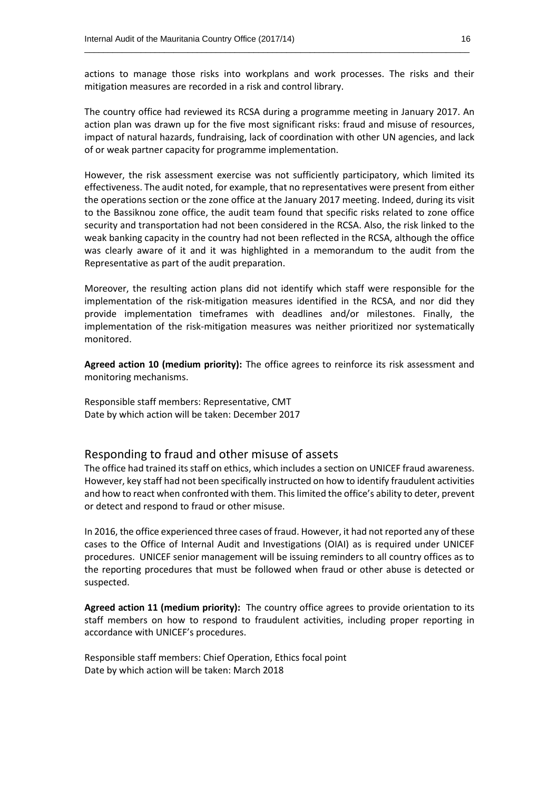actions to manage those risks into workplans and work processes. The risks and their mitigation measures are recorded in a risk and control library.

\_\_\_\_\_\_\_\_\_\_\_\_\_\_\_\_\_\_\_\_\_\_\_\_\_\_\_\_\_\_\_\_\_\_\_\_\_\_\_\_\_\_\_\_\_\_\_\_\_\_\_\_\_\_\_\_\_\_\_\_\_\_\_\_\_\_\_\_\_\_\_\_\_\_\_\_\_\_\_\_\_\_

The country office had reviewed its RCSA during a programme meeting in January 2017. An action plan was drawn up for the five most significant risks: fraud and misuse of resources, impact of natural hazards, fundraising, lack of coordination with other UN agencies, and lack of or weak partner capacity for programme implementation.

However, the risk assessment exercise was not sufficiently participatory, which limited its effectiveness. The audit noted, for example, that no representatives were present from either the operations section or the zone office at the January 2017 meeting. Indeed, during its visit to the Bassiknou zone office, the audit team found that specific risks related to zone office security and transportation had not been considered in the RCSA. Also, the risk linked to the weak banking capacity in the country had not been reflected in the RCSA, although the office was clearly aware of it and it was highlighted in a memorandum to the audit from the Representative as part of the audit preparation.

Moreover, the resulting action plans did not identify which staff were responsible for the implementation of the risk-mitigation measures identified in the RCSA, and nor did they provide implementation timeframes with deadlines and/or milestones. Finally, the implementation of the risk-mitigation measures was neither prioritized nor systematically monitored.

**Agreed action 10 (medium priority):** The office agrees to reinforce its risk assessment and monitoring mechanisms.

Responsible staff members: Representative, CMT Date by which action will be taken: December 2017

#### Responding to fraud and other misuse of assets

The office had trained its staff on ethics, which includes a section on UNICEF fraud awareness. However, key staff had not been specifically instructed on how to identify fraudulent activities and how to react when confronted with them. This limited the office's ability to deter, prevent or detect and respond to fraud or other misuse.

In 2016, the office experienced three cases of fraud. However, it had not reported any of these cases to the Office of Internal Audit and Investigations (OIAI) as is required under UNICEF procedures. UNICEF senior management will be issuing reminders to all country offices as to the reporting procedures that must be followed when fraud or other abuse is detected or suspected.

**Agreed action 11 (medium priority):** The country office agrees to provide orientation to its staff members on how to respond to fraudulent activities, including proper reporting in accordance with UNICEF's procedures.

Responsible staff members: Chief Operation, Ethics focal point Date by which action will be taken: March 2018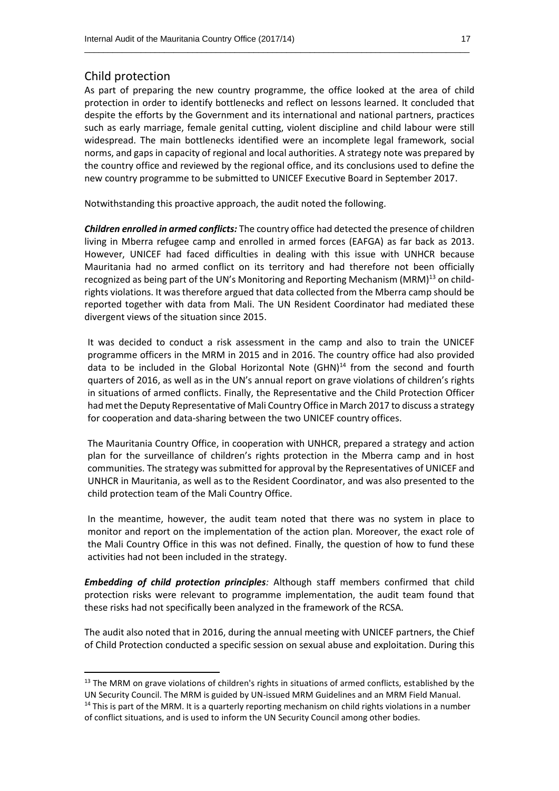#### Child protection

**.** 

As part of preparing the new country programme, the office looked at the area of child protection in order to identify bottlenecks and reflect on lessons learned. It concluded that despite the efforts by the Government and its international and national partners, practices such as early marriage, female genital cutting, violent discipline and child labour were still widespread. The main bottlenecks identified were an incomplete legal framework, social norms, and gaps in capacity of regional and local authorities. A strategy note was prepared by the country office and reviewed by the regional office, and its conclusions used to define the new country programme to be submitted to UNICEF Executive Board in September 2017.

\_\_\_\_\_\_\_\_\_\_\_\_\_\_\_\_\_\_\_\_\_\_\_\_\_\_\_\_\_\_\_\_\_\_\_\_\_\_\_\_\_\_\_\_\_\_\_\_\_\_\_\_\_\_\_\_\_\_\_\_\_\_\_\_\_\_\_\_\_\_\_\_\_\_\_\_\_\_\_\_\_\_

Notwithstanding this proactive approach, the audit noted the following.

*Children enrolled in armed conflicts:* The country office had detected the presence of children living in Mberra refugee camp and enrolled in armed forces (EAFGA) as far back as 2013. However, UNICEF had faced difficulties in dealing with this issue with UNHCR because Mauritania had no armed conflict on its territory and had therefore not been officially recognized as being part of the UN's Monitoring and Reporting Mechanism (MRM) $^{13}$  on childrights violations. It was therefore argued that data collected from the Mberra camp should be reported together with data from Mali. The UN Resident Coordinator had mediated these divergent views of the situation since 2015.

It was decided to conduct a risk assessment in the camp and also to train the UNICEF programme officers in the MRM in 2015 and in 2016. The country office had also provided data to be included in the Global Horizontal Note  $(GHN)^{14}$  from the second and fourth quarters of 2016, as well as in the UN's annual report on grave violations of children's rights in situations of armed conflicts. Finally, the Representative and the Child Protection Officer had met the Deputy Representative of Mali Country Office in March 2017 to discuss a strategy for cooperation and data-sharing between the two UNICEF country offices.

The Mauritania Country Office, in cooperation with UNHCR, prepared a strategy and action plan for the surveillance of children's rights protection in the Mberra camp and in host communities. The strategy was submitted for approval by the Representatives of UNICEF and UNHCR in Mauritania, as well as to the Resident Coordinator, and was also presented to the child protection team of the Mali Country Office.

In the meantime, however, the audit team noted that there was no system in place to monitor and report on the implementation of the action plan. Moreover, the exact role of the Mali Country Office in this was not defined. Finally, the question of how to fund these activities had not been included in the strategy.

*Embedding of child protection principles:* Although staff members confirmed that child protection risks were relevant to programme implementation, the audit team found that these risks had not specifically been analyzed in the framework of the RCSA.

The audit also noted that in 2016, during the annual meeting with UNICEF partners, the Chief of Child Protection conducted a specific session on sexual abuse and exploitation. During this

<sup>&</sup>lt;sup>13</sup> The MRM on grave violations of children's rights in situations of armed conflicts, established by the UN Security Council. The MRM is guided by UN-issued MRM Guidelines and an MRM Field Manual.  $14$  This is part of the MRM. It is a quarterly reporting mechanism on child rights violations in a number

of conflict situations, and is used to inform the UN Security Council among other bodies.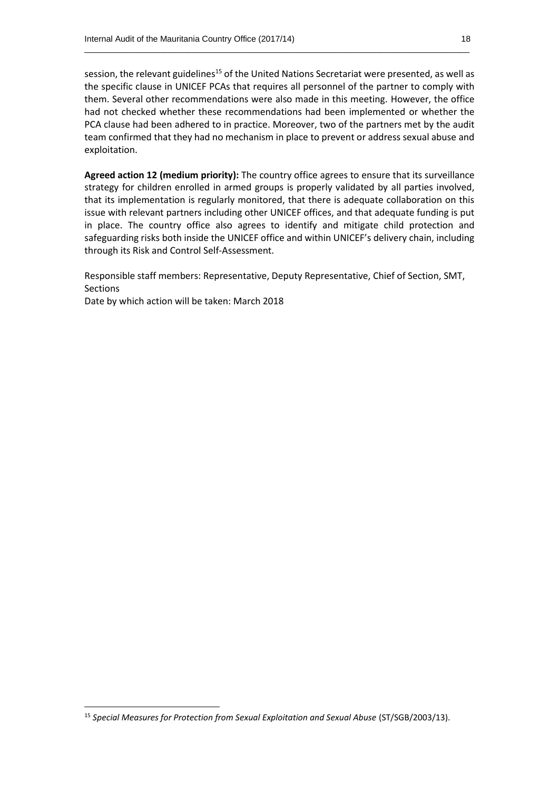session, the relevant guidelines<sup>15</sup> of the United Nations Secretariat were presented, as well as the specific clause in UNICEF PCAs that requires all personnel of the partner to comply with them. Several other recommendations were also made in this meeting. However, the office had not checked whether these recommendations had been implemented or whether the PCA clause had been adhered to in practice. Moreover, two of the partners met by the audit team confirmed that they had no mechanism in place to prevent or address sexual abuse and exploitation.

\_\_\_\_\_\_\_\_\_\_\_\_\_\_\_\_\_\_\_\_\_\_\_\_\_\_\_\_\_\_\_\_\_\_\_\_\_\_\_\_\_\_\_\_\_\_\_\_\_\_\_\_\_\_\_\_\_\_\_\_\_\_\_\_\_\_\_\_\_\_\_\_\_\_\_\_\_\_\_\_\_\_

**Agreed action 12 (medium priority):** The country office agrees to ensure that its surveillance strategy for children enrolled in armed groups is properly validated by all parties involved, that its implementation is regularly monitored, that there is adequate collaboration on this issue with relevant partners including other UNICEF offices, and that adequate funding is put in place. The country office also agrees to identify and mitigate child protection and safeguarding risks both inside the UNICEF office and within UNICEF's delivery chain, including through its Risk and Control Self-Assessment.

Responsible staff members: Representative, Deputy Representative, Chief of Section, SMT, Sections

Date by which action will be taken: March 2018

<sup>15</sup> *Special Measures for Protection from Sexual Exploitation and Sexual Abuse* (ST/SGB/2003/13).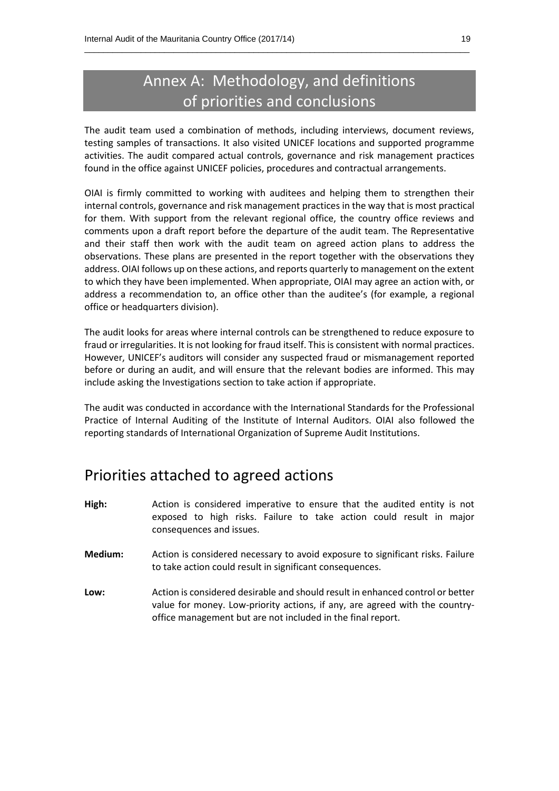### Annex A: Methodology, and definitions of priorities and conclusions

\_\_\_\_\_\_\_\_\_\_\_\_\_\_\_\_\_\_\_\_\_\_\_\_\_\_\_\_\_\_\_\_\_\_\_\_\_\_\_\_\_\_\_\_\_\_\_\_\_\_\_\_\_\_\_\_\_\_\_\_\_\_\_\_\_\_\_\_\_\_\_\_\_\_\_\_\_\_\_\_\_\_

The audit team used a combination of methods, including interviews, document reviews, testing samples of transactions. It also visited UNICEF locations and supported programme activities. The audit compared actual controls, governance and risk management practices found in the office against UNICEF policies, procedures and contractual arrangements.

OIAI is firmly committed to working with auditees and helping them to strengthen their internal controls, governance and risk management practices in the way that is most practical for them. With support from the relevant regional office, the country office reviews and comments upon a draft report before the departure of the audit team. The Representative and their staff then work with the audit team on agreed action plans to address the observations. These plans are presented in the report together with the observations they address. OIAI follows up on these actions, and reports quarterly to management on the extent to which they have been implemented. When appropriate, OIAI may agree an action with, or address a recommendation to, an office other than the auditee's (for example, a regional office or headquarters division).

The audit looks for areas where internal controls can be strengthened to reduce exposure to fraud or irregularities. It is not looking for fraud itself. This is consistent with normal practices. However, UNICEF's auditors will consider any suspected fraud or mismanagement reported before or during an audit, and will ensure that the relevant bodies are informed. This may include asking the Investigations section to take action if appropriate.

The audit was conducted in accordance with the International Standards for the Professional Practice of Internal Auditing of the Institute of Internal Auditors. OIAI also followed the reporting standards of International Organization of Supreme Audit Institutions.

### Priorities attached to agreed actions

- **High:** Action is considered imperative to ensure that the audited entity is not exposed to high risks. Failure to take action could result in major consequences and issues.
- **Medium:** Action is considered necessary to avoid exposure to significant risks. Failure to take action could result in significant consequences.
- **Low:** Action is considered desirable and should result in enhanced control or better value for money. Low-priority actions, if any, are agreed with the countryoffice management but are not included in the final report.